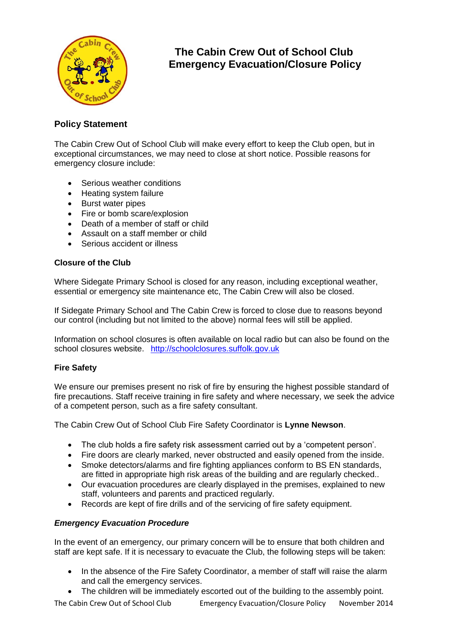

# **The Cabin Crew Out of School Club Emergency Evacuation/Closure Policy**

## **Policy Statement**

The Cabin Crew Out of School Club will make every effort to keep the Club open, but in exceptional circumstances, we may need to close at short notice. Possible reasons for emergency closure include:

- Serious weather conditions
- Heating system failure
- Burst water pipes
- Fire or bomb scare/explosion
- Death of a member of staff or child
- Assault on a staff member or child
- Serious accident or illness

### **Closure of the Club**

Where Sidegate Primary School is closed for any reason, including exceptional weather, essential or emergency site maintenance etc, The Cabin Crew will also be closed.

If Sidegate Primary School and The Cabin Crew is forced to close due to reasons beyond our control (including but not limited to the above) normal fees will still be applied.

Information on school closures is often available on local radio but can also be found on the school closures website. [http://schoolclosures.suffolk.gov.uk](http://schoolclosures.suffolk.gov.uk/)

### **Fire Safety**

We ensure our premises present no risk of fire by ensuring the highest possible standard of fire precautions. Staff receive training in fire safety and where necessary, we seek the advice of a competent person, such as a fire safety consultant.

The Cabin Crew Out of School Club Fire Safety Coordinator is **Lynne Newson**.

- The club holds a fire safety risk assessment carried out by a 'competent person'.
- Fire doors are clearly marked, never obstructed and easily opened from the inside.
- Smoke detectors/alarms and fire fighting appliances conform to BS EN standards, are fitted in appropriate high risk areas of the building and are regularly checked..
- Our evacuation procedures are clearly displayed in the premises, explained to new staff, volunteers and parents and practiced regularly.
- Records are kept of fire drills and of the servicing of fire safety equipment.

### *Emergency Evacuation Procedure*

In the event of an emergency, our primary concern will be to ensure that both children and staff are kept safe. If it is necessary to evacuate the Club, the following steps will be taken:

- In the absence of the Fire Safety Coordinator, a member of staff will raise the alarm and call the emergency services.
- The children will be immediately escorted out of the building to the assembly point.

The Cabin Crew Out of School Club Emergency Evacuation/Closure Policy November 2014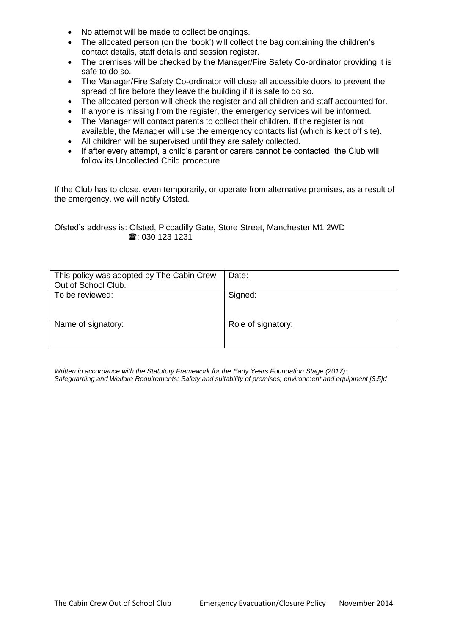- No attempt will be made to collect belongings.
- The allocated person (on the 'book') will collect the bag containing the children's contact details, staff details and session register.
- The premises will be checked by the Manager/Fire Safety Co-ordinator providing it is safe to do so.
- The Manager/Fire Safety Co-ordinator will close all accessible doors to prevent the spread of fire before they leave the building if it is safe to do so.
- The allocated person will check the register and all children and staff accounted for.
- If anyone is missing from the register, the emergency services will be informed.
- The Manager will contact parents to collect their children. If the register is not available, the Manager will use the emergency contacts list (which is kept off site).
- All children will be supervised until they are safely collected.
- If after every attempt, a child's parent or carers cannot be contacted, the Club will follow its Uncollected Child procedure

If the Club has to close, even temporarily, or operate from alternative premises, as a result of the emergency, we will notify Ofsted.

Ofsted's address is: Ofsted, Piccadilly Gate, Store Street, Manchester M1 2WD **雪**: 030 123 1231

| This policy was adopted by The Cabin Crew<br>Out of School Club. | Date:              |
|------------------------------------------------------------------|--------------------|
| To be reviewed:                                                  | Signed:            |
| Name of signatory:                                               | Role of signatory: |

*Written in accordance with the Statutory Framework for the Early Years Foundation Stage (2017): Safeguarding and Welfare Requirements: Safety and suitability of premises, environment and equipment [3.5]d*